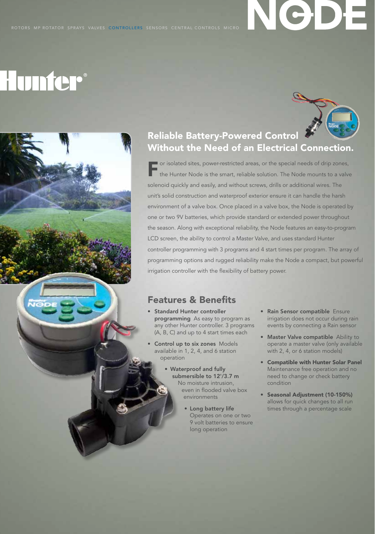#### ROTORS MP ROTATOR SPRAYS VALVES CONTROLLERS SENSORS CENTRAL CONTROLS MICRO

# **Hunfer**®

Ve

## Reliable Battery-Powered Control Without the Need of an Electrical Connection.

**For** isolated sites, power-restricted areas, or the special needs of drip zones,<br>the Hunter Node is the smart, reliable solution. The Node mounts to a valve solenoid quickly and easily, and without screws, drills or additional wires. The unit's solid construction and waterproof exterior ensure it can handle the harsh environment of a valve box. Once placed in a valve box, the Node is operated by one or two 9V batteries, which provide standard or extended power throughout the season. Along with exceptional reliability, the Node features an easy-to-program LCD screen, the ability to control a Master Valve, and uses standard Hunter controller programming with 3 programs and 4 start times per program. The array of programming options and rugged reliability make the Node a compact, but powerful irrigation controller with the flexibility of battery power.

### Features & Benefits

- Standard Hunter controller programming As easy to program as any other Hunter controller. 3 programs (A, B, C) and up to 4 start times each
- **Control up to six zones** Models available in 1, 2, 4, and 6 station operation
	- • Waterproof and fully submersible to 12'/3.7 m No moisture intrusion, even in flooded valve box environments
		- **•** Long battery life Operates on one or two 9 volt batteries to ensure long operation
- Rain Sensor compatible Ensure irrigation does not occur during rain events by connecting a Rain sensor
- Master Valve compatible Ability to operate a master valve (only available with 2, 4, or 6 station models)
- • Compatible with Hunter Solar Panel Maintenance free operation and no need to change or check battery condition
- • Seasonal Adjustment (10-150%) allows for quick changes to all run times through a percentage scale



NGDE